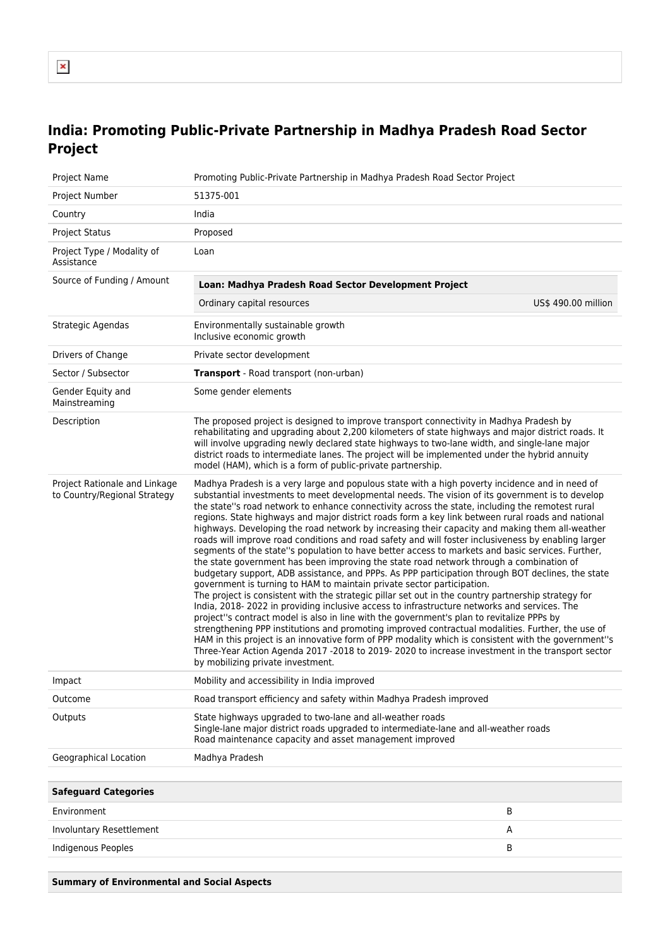# **India: Promoting Public-Private Partnership in Madhya Pradesh Road Sector Project**

| Project Name                                                  | Promoting Public-Private Partnership in Madhya Pradesh Road Sector Project                                                                                                                                                                                                                                                                                                                                                                                                                                                                                                                                                                                                                                                                                                                                                                                                                                                                                                                                                                                                                                                                                                                                                                                                                                                                                                                                                                                                                                                                                                                                                                              |                     |  |
|---------------------------------------------------------------|---------------------------------------------------------------------------------------------------------------------------------------------------------------------------------------------------------------------------------------------------------------------------------------------------------------------------------------------------------------------------------------------------------------------------------------------------------------------------------------------------------------------------------------------------------------------------------------------------------------------------------------------------------------------------------------------------------------------------------------------------------------------------------------------------------------------------------------------------------------------------------------------------------------------------------------------------------------------------------------------------------------------------------------------------------------------------------------------------------------------------------------------------------------------------------------------------------------------------------------------------------------------------------------------------------------------------------------------------------------------------------------------------------------------------------------------------------------------------------------------------------------------------------------------------------------------------------------------------------------------------------------------------------|---------------------|--|
| Project Number                                                | 51375-001                                                                                                                                                                                                                                                                                                                                                                                                                                                                                                                                                                                                                                                                                                                                                                                                                                                                                                                                                                                                                                                                                                                                                                                                                                                                                                                                                                                                                                                                                                                                                                                                                                               |                     |  |
| Country                                                       | India                                                                                                                                                                                                                                                                                                                                                                                                                                                                                                                                                                                                                                                                                                                                                                                                                                                                                                                                                                                                                                                                                                                                                                                                                                                                                                                                                                                                                                                                                                                                                                                                                                                   |                     |  |
| <b>Project Status</b>                                         | Proposed                                                                                                                                                                                                                                                                                                                                                                                                                                                                                                                                                                                                                                                                                                                                                                                                                                                                                                                                                                                                                                                                                                                                                                                                                                                                                                                                                                                                                                                                                                                                                                                                                                                |                     |  |
| Project Type / Modality of<br>Assistance                      | Loan                                                                                                                                                                                                                                                                                                                                                                                                                                                                                                                                                                                                                                                                                                                                                                                                                                                                                                                                                                                                                                                                                                                                                                                                                                                                                                                                                                                                                                                                                                                                                                                                                                                    |                     |  |
| Source of Funding / Amount                                    | Loan: Madhya Pradesh Road Sector Development Project                                                                                                                                                                                                                                                                                                                                                                                                                                                                                                                                                                                                                                                                                                                                                                                                                                                                                                                                                                                                                                                                                                                                                                                                                                                                                                                                                                                                                                                                                                                                                                                                    |                     |  |
|                                                               | Ordinary capital resources                                                                                                                                                                                                                                                                                                                                                                                                                                                                                                                                                                                                                                                                                                                                                                                                                                                                                                                                                                                                                                                                                                                                                                                                                                                                                                                                                                                                                                                                                                                                                                                                                              | US\$ 490.00 million |  |
| Strategic Agendas                                             | Environmentally sustainable growth<br>Inclusive economic growth                                                                                                                                                                                                                                                                                                                                                                                                                                                                                                                                                                                                                                                                                                                                                                                                                                                                                                                                                                                                                                                                                                                                                                                                                                                                                                                                                                                                                                                                                                                                                                                         |                     |  |
| Drivers of Change                                             | Private sector development                                                                                                                                                                                                                                                                                                                                                                                                                                                                                                                                                                                                                                                                                                                                                                                                                                                                                                                                                                                                                                                                                                                                                                                                                                                                                                                                                                                                                                                                                                                                                                                                                              |                     |  |
| Sector / Subsector                                            | <b>Transport</b> - Road transport (non-urban)                                                                                                                                                                                                                                                                                                                                                                                                                                                                                                                                                                                                                                                                                                                                                                                                                                                                                                                                                                                                                                                                                                                                                                                                                                                                                                                                                                                                                                                                                                                                                                                                           |                     |  |
| Gender Equity and<br>Mainstreaming                            | Some gender elements                                                                                                                                                                                                                                                                                                                                                                                                                                                                                                                                                                                                                                                                                                                                                                                                                                                                                                                                                                                                                                                                                                                                                                                                                                                                                                                                                                                                                                                                                                                                                                                                                                    |                     |  |
| Description                                                   | The proposed project is designed to improve transport connectivity in Madhya Pradesh by<br>rehabilitating and upgrading about 2,200 kilometers of state highways and major district roads. It<br>will involve upgrading newly declared state highways to two-lane width, and single-lane major<br>district roads to intermediate lanes. The project will be implemented under the hybrid annuity<br>model (HAM), which is a form of public-private partnership.                                                                                                                                                                                                                                                                                                                                                                                                                                                                                                                                                                                                                                                                                                                                                                                                                                                                                                                                                                                                                                                                                                                                                                                         |                     |  |
| Project Rationale and Linkage<br>to Country/Regional Strategy | Madhya Pradesh is a very large and populous state with a high poverty incidence and in need of<br>substantial investments to meet developmental needs. The vision of its government is to develop<br>the state"s road network to enhance connectivity across the state, including the remotest rural<br>regions. State highways and major district roads form a key link between rural roads and national<br>highways. Developing the road network by increasing their capacity and making them all-weather<br>roads will improve road conditions and road safety and will foster inclusiveness by enabling larger<br>segments of the state"s population to have better access to markets and basic services. Further,<br>the state government has been improving the state road network through a combination of<br>budgetary support, ADB assistance, and PPPs. As PPP participation through BOT declines, the state<br>government is turning to HAM to maintain private sector participation.<br>The project is consistent with the strategic pillar set out in the country partnership strategy for<br>India, 2018-2022 in providing inclusive access to infrastructure networks and services. The<br>project"s contract model is also in line with the government's plan to revitalize PPPs by<br>strengthening PPP institutions and promoting improved contractual modalities. Further, the use of<br>HAM in this project is an innovative form of PPP modality which is consistent with the government"s<br>Three-Year Action Agenda 2017 -2018 to 2019-2020 to increase investment in the transport sector<br>by mobilizing private investment. |                     |  |
| Impact                                                        | Mobility and accessibility in India improved                                                                                                                                                                                                                                                                                                                                                                                                                                                                                                                                                                                                                                                                                                                                                                                                                                                                                                                                                                                                                                                                                                                                                                                                                                                                                                                                                                                                                                                                                                                                                                                                            |                     |  |
| Outcome                                                       | Road transport efficiency and safety within Madhya Pradesh improved                                                                                                                                                                                                                                                                                                                                                                                                                                                                                                                                                                                                                                                                                                                                                                                                                                                                                                                                                                                                                                                                                                                                                                                                                                                                                                                                                                                                                                                                                                                                                                                     |                     |  |
| Outputs                                                       | State highways upgraded to two-lane and all-weather roads<br>Single-lane major district roads upgraded to intermediate-lane and all-weather roads<br>Road maintenance capacity and asset management improved                                                                                                                                                                                                                                                                                                                                                                                                                                                                                                                                                                                                                                                                                                                                                                                                                                                                                                                                                                                                                                                                                                                                                                                                                                                                                                                                                                                                                                            |                     |  |
| Geographical Location                                         | Madhya Pradesh                                                                                                                                                                                                                                                                                                                                                                                                                                                                                                                                                                                                                                                                                                                                                                                                                                                                                                                                                                                                                                                                                                                                                                                                                                                                                                                                                                                                                                                                                                                                                                                                                                          |                     |  |
|                                                               |                                                                                                                                                                                                                                                                                                                                                                                                                                                                                                                                                                                                                                                                                                                                                                                                                                                                                                                                                                                                                                                                                                                                                                                                                                                                                                                                                                                                                                                                                                                                                                                                                                                         |                     |  |
| <b>Safeguard Categories</b>                                   |                                                                                                                                                                                                                                                                                                                                                                                                                                                                                                                                                                                                                                                                                                                                                                                                                                                                                                                                                                                                                                                                                                                                                                                                                                                                                                                                                                                                                                                                                                                                                                                                                                                         |                     |  |
| Environment                                                   |                                                                                                                                                                                                                                                                                                                                                                                                                                                                                                                                                                                                                                                                                                                                                                                                                                                                                                                                                                                                                                                                                                                                                                                                                                                                                                                                                                                                                                                                                                                                                                                                                                                         | В                   |  |
| Involuntary Resettlement                                      |                                                                                                                                                                                                                                                                                                                                                                                                                                                                                                                                                                                                                                                                                                                                                                                                                                                                                                                                                                                                                                                                                                                                                                                                                                                                                                                                                                                                                                                                                                                                                                                                                                                         | Α                   |  |
| Indigenous Peoples                                            |                                                                                                                                                                                                                                                                                                                                                                                                                                                                                                                                                                                                                                                                                                                                                                                                                                                                                                                                                                                                                                                                                                                                                                                                                                                                                                                                                                                                                                                                                                                                                                                                                                                         | В                   |  |
|                                                               |                                                                                                                                                                                                                                                                                                                                                                                                                                                                                                                                                                                                                                                                                                                                                                                                                                                                                                                                                                                                                                                                                                                                                                                                                                                                                                                                                                                                                                                                                                                                                                                                                                                         |                     |  |

**Summary of Environmental and Social Aspects**

 $\pmb{\times}$